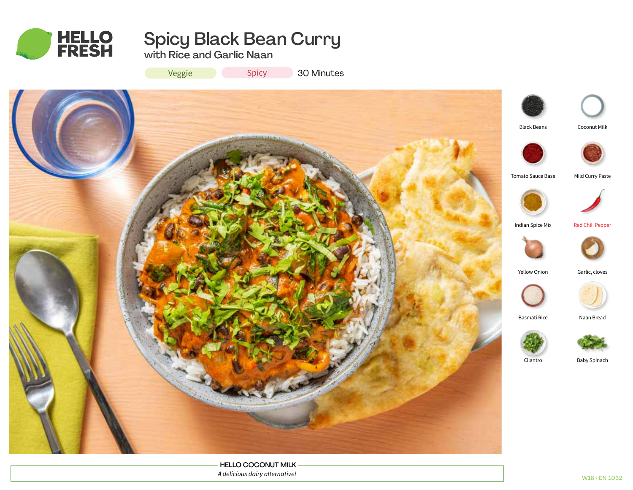

# Spicy Black Bean Curry

with Rice and Garlic Naan

Veggie Spicy 30 Minutes



HELLO COCONUT MILK *A delicious dairy alternative!*